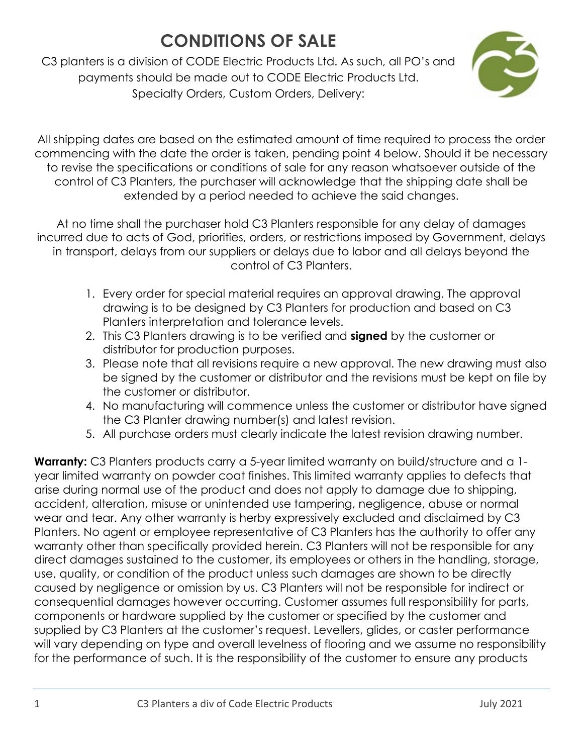C3 planters is a division of CODE Electric Products Ltd. As such, all PO's and payments should be made out to CODE Electric Products Ltd. Specialty Orders, Custom Orders, Delivery:



All shipping dates are based on the estimated amount of time required to process the order commencing with the date the order is taken, pending point 4 below. Should it be necessary to revise the specifications or conditions of sale for any reason whatsoever outside of the control of C3 Planters, the purchaser will acknowledge that the shipping date shall be extended by a period needed to achieve the said changes.

At no time shall the purchaser hold C3 Planters responsible for any delay of damages incurred due to acts of God, priorities, orders, or restrictions imposed by Government, delays in transport, delays from our suppliers or delays due to labor and all delays beyond the control of C3 Planters.

- 1. Every order for special material requires an approval drawing. The approval drawing is to be designed by C3 Planters for production and based on C3 Planters interpretation and tolerance levels.
- 2. This C3 Planters drawing is to be verified and **signed** by the customer or distributor for production purposes.
- 3. Please note that all revisions require a new approval. The new drawing must also be signed by the customer or distributor and the revisions must be kept on file by the customer or distributor.
- 4. No manufacturing will commence unless the customer or distributor have signed the C3 Planter drawing number(s) and latest revision.
- 5. All purchase orders must clearly indicate the latest revision drawing number.

**Warranty:** C3 Planters products carry a 5-year limited warranty on build/structure and a 1year limited warranty on powder coat finishes. This limited warranty applies to defects that arise during normal use of the product and does not apply to damage due to shipping, accident, alteration, misuse or unintended use tampering, negligence, abuse or normal wear and tear. Any other warranty is herby expressively excluded and disclaimed by C3 Planters. No agent or employee representative of C3 Planters has the authority to offer any warranty other than specifically provided herein. C3 Planters will not be responsible for any direct damages sustained to the customer, its employees or others in the handling, storage, use, quality, or condition of the product unless such damages are shown to be directly caused by negligence or omission by us. C3 Planters will not be responsible for indirect or consequential damages however occurring. Customer assumes full responsibility for parts, components or hardware supplied by the customer or specified by the customer and supplied by C3 Planters at the customer's request. Levellers, glides, or caster performance will vary depending on type and overall levelness of flooring and we assume no responsibility for the performance of such. It is the responsibility of the customer to ensure any products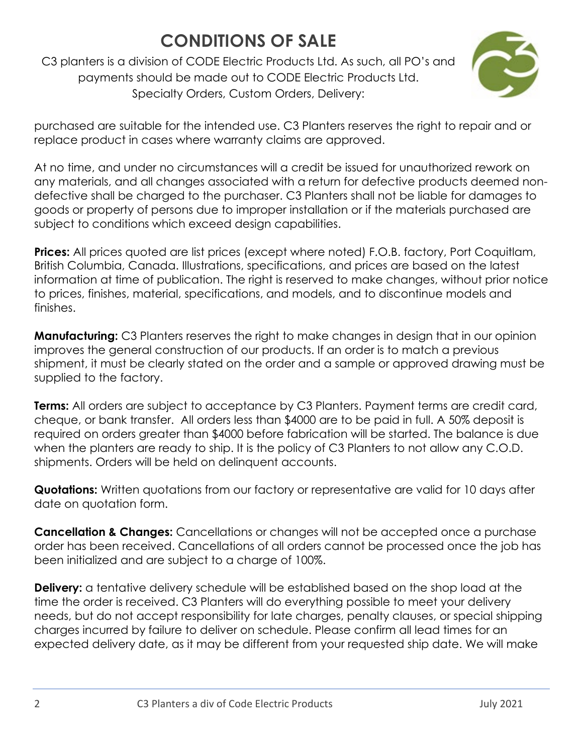C3 planters is a division of CODE Electric Products Ltd. As such, all PO's and payments should be made out to CODE Electric Products Ltd. Specialty Orders, Custom Orders, Delivery:



purchased are suitable for the intended use. C3 Planters reserves the right to repair and or replace product in cases where warranty claims are approved.

At no time, and under no circumstances will a credit be issued for unauthorized rework on any materials, and all changes associated with a return for defective products deemed nondefective shall be charged to the purchaser. C3 Planters shall not be liable for damages to goods or property of persons due to improper installation or if the materials purchased are subject to conditions which exceed design capabilities.

**Prices:** All prices quoted are list prices (except where noted) F.O.B. factory, Port Coquitlam, British Columbia, Canada. Illustrations, specifications, and prices are based on the latest information at time of publication. The right is reserved to make changes, without prior notice to prices, finishes, material, specifications, and models, and to discontinue models and finishes.

**Manufacturing:** C3 Planters reserves the right to make changes in design that in our opinion improves the general construction of our products. If an order is to match a previous shipment, it must be clearly stated on the order and a sample or approved drawing must be supplied to the factory.

**Terms:** All orders are subject to acceptance by C3 Planters. Payment terms are credit card, cheque, or bank transfer. All orders less than \$4000 are to be paid in full. A 50% deposit is required on orders greater than \$4000 before fabrication will be started. The balance is due when the planters are ready to ship. It is the policy of C3 Planters to not allow any C.O.D. shipments. Orders will be held on delinquent accounts.

**Quotations:** Written quotations from our factory or representative are valid for 10 days after date on quotation form.

**Cancellation & Changes:** Cancellations or changes will not be accepted once a purchase order has been received. Cancellations of all orders cannot be processed once the job has been initialized and are subject to a charge of 100%.

**Delivery:** a tentative delivery schedule will be established based on the shop load at the time the order is received. C3 Planters will do everything possible to meet your delivery needs, but do not accept responsibility for late charges, penalty clauses, or special shipping charges incurred by failure to deliver on schedule. Please confirm all lead times for an expected delivery date, as it may be different from your requested ship date. We will make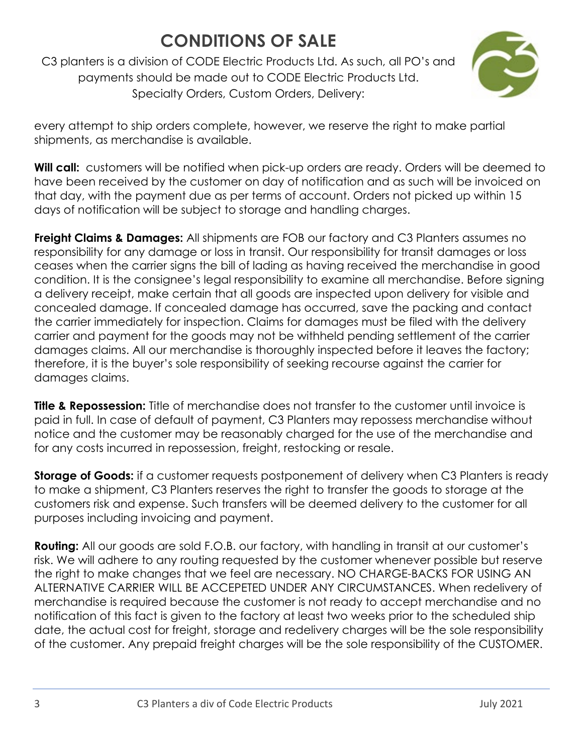C3 planters is a division of CODE Electric Products Ltd. As such, all PO's and payments should be made out to CODE Electric Products Ltd. Specialty Orders, Custom Orders, Delivery:



every attempt to ship orders complete, however, we reserve the right to make partial shipments, as merchandise is available.

Will call: customers will be notified when pick-up orders are ready. Orders will be deemed to have been received by the customer on day of notification and as such will be invoiced on that day, with the payment due as per terms of account. Orders not picked up within 15 days of notification will be subject to storage and handling charges.

**Freight Claims & Damages:** All shipments are FOB our factory and C3 Planters assumes no responsibility for any damage or loss in transit. Our responsibility for transit damages or loss ceases when the carrier signs the bill of lading as having received the merchandise in good condition. It is the consignee's legal responsibility to examine all merchandise. Before signing a delivery receipt, make certain that all goods are inspected upon delivery for visible and concealed damage. If concealed damage has occurred, save the packing and contact the carrier immediately for inspection. Claims for damages must be filed with the delivery carrier and payment for the goods may not be withheld pending settlement of the carrier damages claims. All our merchandise is thoroughly inspected before it leaves the factory; therefore, it is the buyer's sole responsibility of seeking recourse against the carrier for damages claims.

**Title & Repossession:** Title of merchandise does not transfer to the customer until invoice is paid in full. In case of default of payment, C3 Planters may repossess merchandise without notice and the customer may be reasonably charged for the use of the merchandise and for any costs incurred in repossession, freight, restocking or resale.

**Storage of Goods:** if a customer requests postponement of delivery when C3 Planters is ready to make a shipment, C3 Planters reserves the right to transfer the goods to storage at the customers risk and expense. Such transfers will be deemed delivery to the customer for all purposes including invoicing and payment.

**Routing:** All our goods are sold F.O.B. our factory, with handling in transit at our customer's risk. We will adhere to any routing requested by the customer whenever possible but reserve the right to make changes that we feel are necessary. NO CHARGE-BACKS FOR USING AN ALTERNATIVE CARRIER WILL BE ACCEPETED UNDER ANY CIRCUMSTANCES. When redelivery of merchandise is required because the customer is not ready to accept merchandise and no notification of this fact is given to the factory at least two weeks prior to the scheduled ship date, the actual cost for freight, storage and redelivery charges will be the sole responsibility of the customer. Any prepaid freight charges will be the sole responsibility of the CUSTOMER.